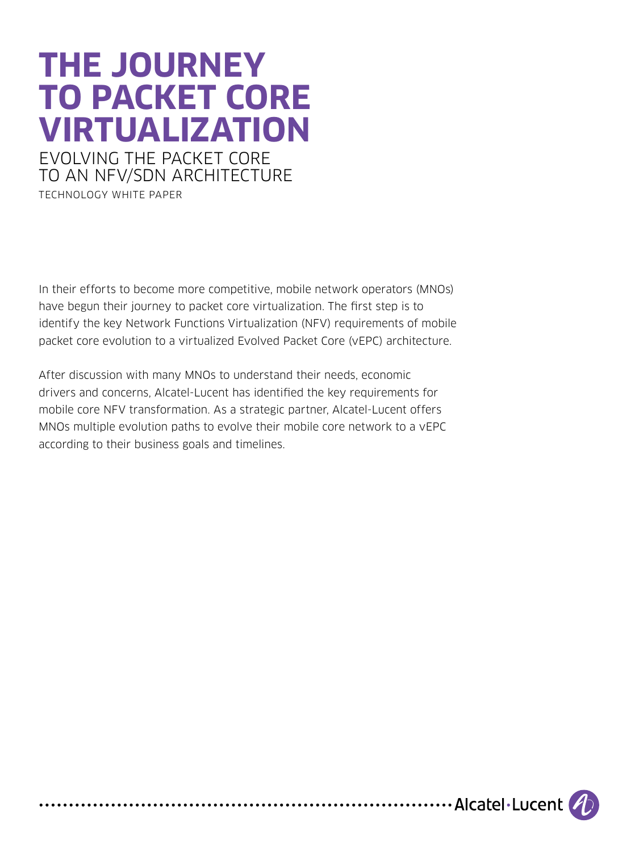# **The JOURNEY TO PACKET CORE Virtualization** EVOLving THE PACKET CORE TO An NFV/sdN ARCHITECTURE

TechNOLOGY White Paper

In their efforts to become more competitive, mobile network operators (MNOs) have begun their journey to packet core virtualization. The first step is to identify the key Network Functions Virtualization (NFV) requirements of mobile packet core evolution to a virtualized Evolved Packet Core (vEPC) architecture.

After discussion with many MNOs to understand their needs, economic drivers and concerns, Alcatel-Lucent has identified the key requirements for mobile core NFV transformation. As a strategic partner, Alcatel-Lucent offers MNOs multiple evolution paths to evolve their mobile core network to a vEPC according to their business goals and timelines.

.................... Alcatel . Lucent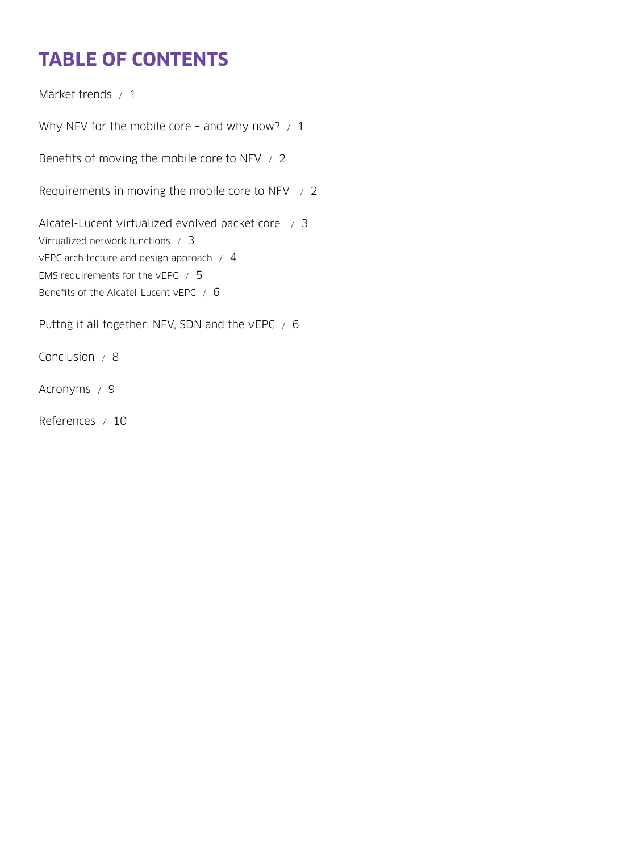# **Table of contents**

[Market trends / 1](#page-2-0)

Why NFV for the mobile core - and why now?  $/1$ 

[Benefits of moving the mobile core to NFV / 2](#page-3-0)

[Requirements in moving the mobile core to NFV / 2](#page-3-0)

[Alcatel-Lucent virtualized evolved packet core / 3](#page-4-0) [Virtualized network functions / 3](#page-4-0) [vEPC architecture and design approach / 4](#page-5-0) [EMS requirements for the vEPC / 5](#page-6-0) [Benefits of the Alcatel-Lucent vEPC / 6](#page-7-0)

[Puttng it all together: NFV, SDN and the vEPC / 6](#page-7-0)

[Conclusion / 8](#page-9-0)

[Acronyms / 9](#page-10-0)

[References / 10](#page-11-0)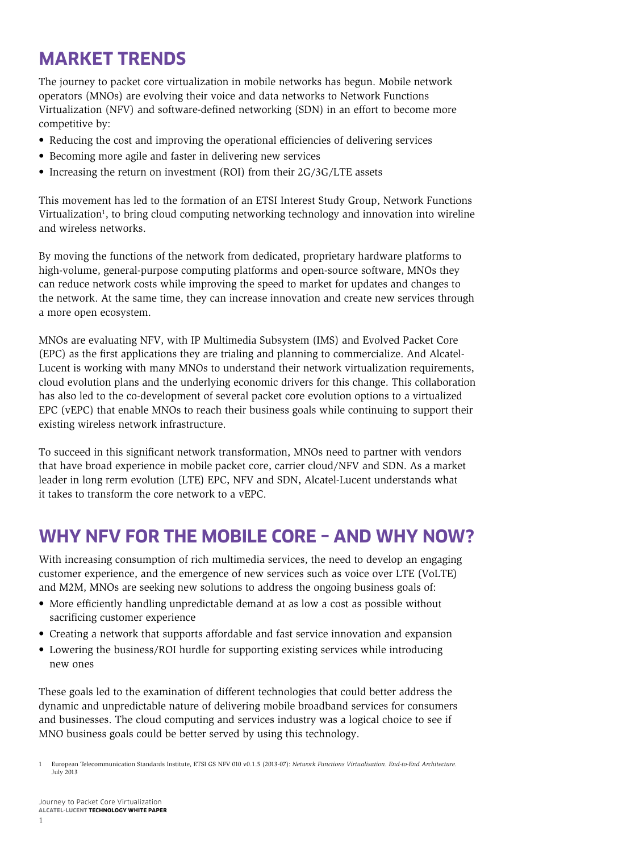### <span id="page-2-0"></span>**Market trends**

The journey to packet core virtualization in mobile networks has begun. Mobile network operators (MNOs) are evolving their voice and data networks to Network Functions Virtualization (NFV) and software-defined networking (SDN) in an effort to become more competitive by:

- Reducing the cost and improving the operational efficiencies of delivering services
- Becoming more agile and faster in delivering new services
- Increasing the return on investment (ROI) from their 2G/3G/LTE assets

This movement has led to the formation of an ETSI Interest Study Group, Network Functions Virtualization<sup>1</sup>, to bring cloud computing networking technology and innovation into wireline and wireless networks.

By moving the functions of the network from dedicated, proprietary hardware platforms to high-volume, general-purpose computing platforms and open-source software, MNOs they can reduce network costs while improving the speed to market for updates and changes to the network. At the same time, they can increase innovation and create new services through a more open ecosystem.

MNOs are evaluating NFV, with IP Multimedia Subsystem (IMS) and Evolved Packet Core (EPC) as the first applications they are trialing and planning to commercialize. And Alcatel-Lucent is working with many MNOs to understand their network virtualization requirements, cloud evolution plans and the underlying economic drivers for this change. This collaboration has also led to the co-development of several packet core evolution options to a virtualized EPC (vEPC) that enable MNOs to reach their business goals while continuing to support their existing wireless network infrastructure.

To succeed in this significant network transformation, MNOs need to partner with vendors that have broad experience in mobile packet core, carrier cloud/NFV and SDN. As a market leader in long rerm evolution (LTE) EPC, NFV and SDN, Alcatel-Lucent understands what it takes to transform the core network to a vEPC.

### **Why NFV for the mobile core – and why now?**

With increasing consumption of rich multimedia services, the need to develop an engaging customer experience, and the emergence of new services such as voice over LTE (VoLTE) and M2M, MNOs are seeking new solutions to address the ongoing business goals of:

- More efficiently handling unpredictable demand at as low a cost as possible without sacrificing customer experience
- • Creating a network that supports affordable and fast service innovation and expansion
- Lowering the business/ROI hurdle for supporting existing services while introducing new ones

These goals led to the examination of different technologies that could better address the dynamic and unpredictable nature of delivering mobile broadband services for consumers and businesses. The cloud computing and services industry was a logical choice to see if MNO business goals could be better served by using this technology.

1 European Telecommunication Standards Institute, ETSI GS NFV 010 v0.1.5 (2013-07): *Network Functions Virtualisation. End-to-End Architecture.* July 2013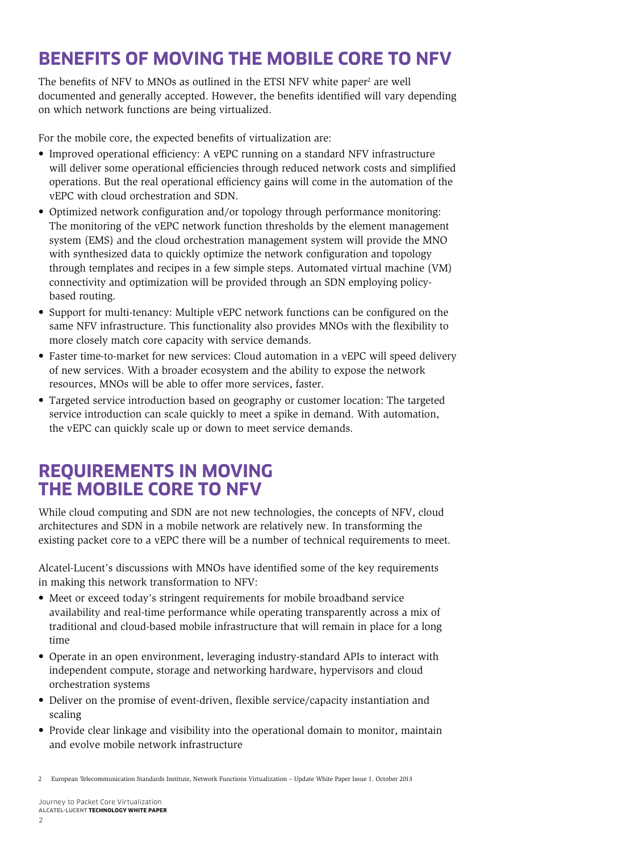## <span id="page-3-0"></span>**Benefits of moving the mobile core to NFV**

The benefits of NFV to MNOs as outlined in the ETSI NFV white paper<sup>2</sup> are well documented and generally accepted. However, the benefits identified will vary depending on which network functions are being virtualized.

For the mobile core, the expected benefits of virtualization are:

- • Improved operational efficiency: A vEPC running on a standard NFV infrastructure will deliver some operational efficiencies through reduced network costs and simplified operations. But the real operational efficiency gains will come in the automation of the vEPC with cloud orchestration and SDN.
- • Optimized network configuration and/or topology through performance monitoring: The monitoring of the vEPC network function thresholds by the element management system (EMS) and the cloud orchestration management system will provide the MNO with synthesized data to quickly optimize the network configuration and topology through templates and recipes in a few simple steps. Automated virtual machine (VM) connectivity and optimization will be provided through an SDN employing policybased routing.
- • Support for multi-tenancy: Multiple vEPC network functions can be configured on the same NFV infrastructure. This functionality also provides MNOs with the flexibility to more closely match core capacity with service demands.
- Faster time-to-market for new services: Cloud automation in a vEPC will speed delivery of new services. With a broader ecosystem and the ability to expose the network resources, MNOs will be able to offer more services, faster.
- Targeted service introduction based on geography or customer location: The targeted service introduction can scale quickly to meet a spike in demand. With automation, the vEPC can quickly scale up or down to meet service demands.

### **Requirements in moving the mobile core to NFV**

While cloud computing and SDN are not new technologies, the concepts of NFV, cloud architectures and SDN in a mobile network are relatively new. In transforming the existing packet core to a vEPC there will be a number of technical requirements to meet.

Alcatel-Lucent's discussions with MNOs have identified some of the key requirements in making this network transformation to NFV:

- Meet or exceed today's stringent requirements for mobile broadband service availability and real-time performance while operating transparently across a mix of traditional and cloud-based mobile infrastructure that will remain in place for a long time
- • Operate in an open environment, leveraging industry-standard APIs to interact with independent compute, storage and networking hardware, hypervisors and cloud orchestration systems
- Deliver on the promise of event-driven, flexible service/capacity instantiation and scaling
- Provide clear linkage and visibility into the operational domain to monitor, maintain and evolve mobile network infrastructure

2 European Telecommunication Standards Institute, Network Functions Virtualization – Update White Paper Issue 1. October 2013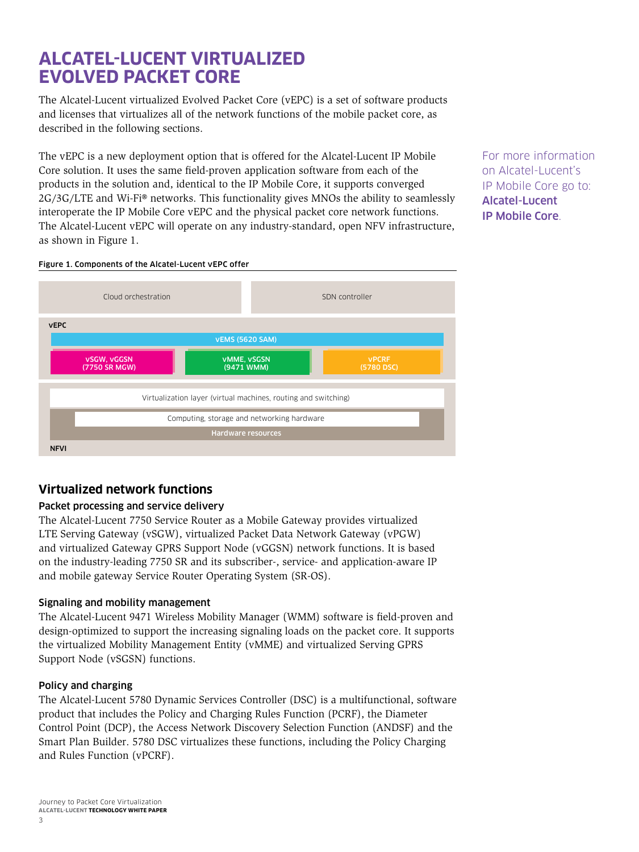### <span id="page-4-0"></span>**Alcatel-Lucent virtualized evolved packet core**

The Alcatel-Lucent virtualized Evolved Packet Core (vEPC) is a set of software products and licenses that virtualizes all of the network functions of the mobile packet core, as described in the following sections.

The vEPC is a new deployment option that is offered for the Alcatel-Lucent IP Mobile Core solution. It uses the same field-proven application software from each of the products in the solution and, identical to the IP Mobile Core, it supports converged 2G/3G/LTE and Wi-Fi® networks. This functionality gives MNOs the ability to seamlessly interoperate the IP Mobile Core vEPC and the physical packet core network functions. The Alcatel-Lucent vEPC will operate on any industry-standard, open NFV infrastructure, as shown in Figure 1.

For more information on Alcatel-Lucent's IP Mobile Core go to: [Alcatel-Lucent](http://www.alcatel-lucent.com/solutions/wireless-packet-core)  [IP Mobile Core](http://www.alcatel-lucent.com/solutions/wireless-packet-core).

#### Figure 1. Components of the Alcatel-Lucent vEPC offer



### **Virtualized network functions**

#### Packet processing and service delivery

The Alcatel-Lucent 7750 Service Router as a Mobile Gateway provides virtualized LTE Serving Gateway (vSGW), virtualized Packet Data Network Gateway (vPGW) and virtualized Gateway GPRS Support Node (vGGSN) network functions. It is based on the industry-leading 7750 SR and its subscriber-, service- and application-aware IP and mobile gateway Service Router Operating System (SR-OS).

#### Signaling and mobility management

The Alcatel-Lucent 9471 Wireless Mobility Manager (WMM) software is field-proven and design-optimized to support the increasing signaling loads on the packet core. It supports the virtualized Mobility Management Entity (vMME) and virtualized Serving GPRS Support Node (vSGSN) functions.

#### Policy and charging

The Alcatel-Lucent 5780 Dynamic Services Controller (DSC) is a multifunctional, software product that includes the Policy and Charging Rules Function (PCRF), the Diameter Control Point (DCP), the Access Network Discovery Selection Function (ANDSF) and the Smart Plan Builder. 5780 DSC virtualizes these functions, including the Policy Charging and Rules Function (vPCRF).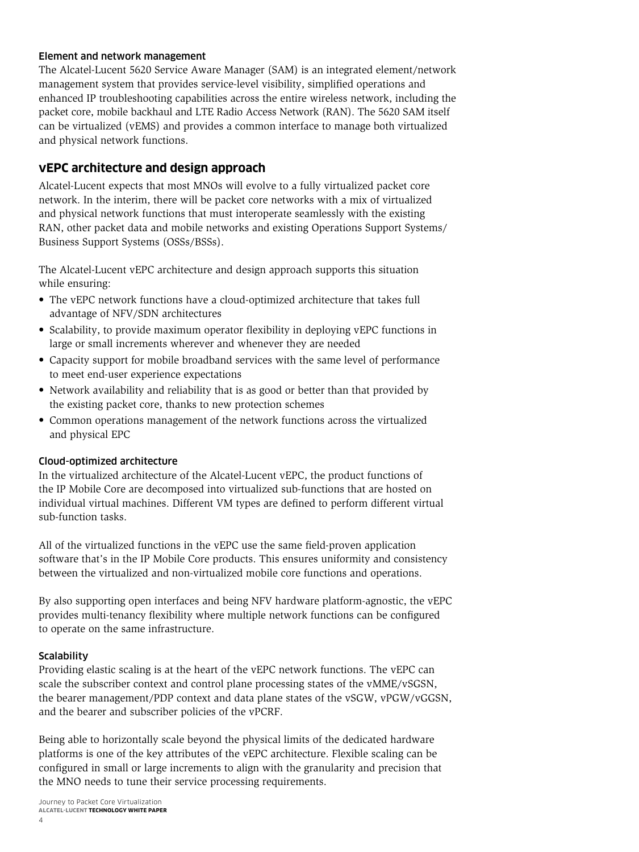#### <span id="page-5-0"></span>Element and network management

The Alcatel-Lucent 5620 Service Aware Manager (SAM) is an integrated element/network management system that provides service-level visibility, simplified operations and enhanced IP troubleshooting capabilities across the entire wireless network, including the packet core, mobile backhaul and LTE Radio Access Network (RAN). The 5620 SAM itself can be virtualized (vEMS) and provides a common interface to manage both virtualized and physical network functions.

#### **vEPC architecture and design approach**

Alcatel-Lucent expects that most MNOs will evolve to a fully virtualized packet core network. In the interim, there will be packet core networks with a mix of virtualized and physical network functions that must interoperate seamlessly with the existing RAN, other packet data and mobile networks and existing Operations Support Systems/ Business Support Systems (OSSs/BSSs).

The Alcatel-Lucent vEPC architecture and design approach supports this situation while ensuring:

- The vEPC network functions have a cloud-optimized architecture that takes full advantage of NFV/SDN architectures
- Scalability, to provide maximum operator flexibility in deploying vEPC functions in large or small increments wherever and whenever they are needed
- • Capacity support for mobile broadband services with the same level of performance to meet end-user experience expectations
- Network availability and reliability that is as good or better than that provided by the existing packet core, thanks to new protection schemes
- • Common operations management of the network functions across the virtualized and physical EPC

#### Cloud-optimized architecture

In the virtualized architecture of the Alcatel-Lucent vEPC, the product functions of the IP Mobile Core are decomposed into virtualized sub-functions that are hosted on individual virtual machines. Different VM types are defined to perform different virtual sub-function tasks.

All of the virtualized functions in the vEPC use the same field-proven application software that's in the IP Mobile Core products. This ensures uniformity and consistency between the virtualized and non-virtualized mobile core functions and operations.

By also supporting open interfaces and being NFV hardware platform-agnostic, the vEPC provides multi-tenancy flexibility where multiple network functions can be configured to operate on the same infrastructure.

#### **Scalability**

Providing elastic scaling is at the heart of the vEPC network functions. The vEPC can scale the subscriber context and control plane processing states of the vMME/vSGSN, the bearer management/PDP context and data plane states of the vSGW, vPGW/vGGSN, and the bearer and subscriber policies of the vPCRF.

Being able to horizontally scale beyond the physical limits of the dedicated hardware platforms is one of the key attributes of the vEPC architecture. Flexible scaling can be configured in small or large increments to align with the granularity and precision that the MNO needs to tune their service processing requirements.

Journey to Packet Core Virtualization **Alcatel-Lucent Technology White paper**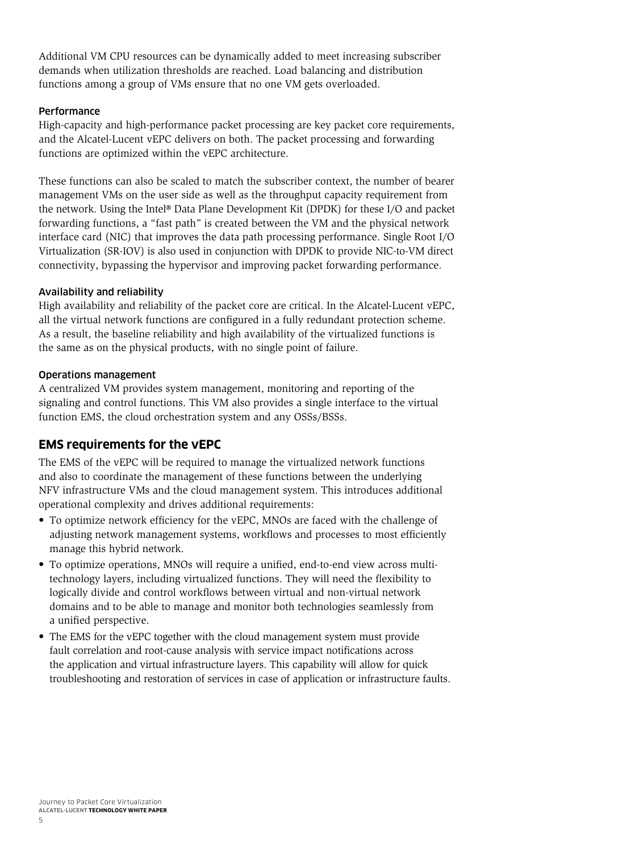<span id="page-6-0"></span>Additional VM CPU resources can be dynamically added to meet increasing subscriber demands when utilization thresholds are reached. Load balancing and distribution functions among a group of VMs ensure that no one VM gets overloaded.

#### **Performance**

High-capacity and high-performance packet processing are key packet core requirements, and the Alcatel-Lucent vEPC delivers on both. The packet processing and forwarding functions are optimized within the vEPC architecture.

These functions can also be scaled to match the subscriber context, the number of bearer management VMs on the user side as well as the throughput capacity requirement from the network. Using the Intel® Data Plane Development Kit (DPDK) for these I/O and packet forwarding functions, a "fast path" is created between the VM and the physical network interface card (NIC) that improves the data path processing performance. Single Root I/O Virtualization (SR-IOV) is also used in conjunction with DPDK to provide NIC-to-VM direct connectivity, bypassing the hypervisor and improving packet forwarding performance.

#### Availability and reliability

High availability and reliability of the packet core are critical. In the Alcatel-Lucent vEPC, all the virtual network functions are configured in a fully redundant protection scheme. As a result, the baseline reliability and high availability of the virtualized functions is the same as on the physical products, with no single point of failure.

#### Operations management

A centralized VM provides system management, monitoring and reporting of the signaling and control functions. This VM also provides a single interface to the virtual function EMS, the cloud orchestration system and any OSSs/BSSs.

### **EMS requirements for the vEPC**

The EMS of the vEPC will be required to manage the virtualized network functions and also to coordinate the management of these functions between the underlying NFV infrastructure VMs and the cloud management system. This introduces additional operational complexity and drives additional requirements:

- To optimize network efficiency for the vEPC, MNOs are faced with the challenge of adjusting network management systems, workflows and processes to most efficiently manage this hybrid network.
- • To optimize operations, MNOs will require a unified, end-to-end view across multitechnology layers, including virtualized functions. They will need the flexibility to logically divide and control workflows between virtual and non-virtual network domains and to be able to manage and monitor both technologies seamlessly from a unified perspective.
- The EMS for the vEPC together with the cloud management system must provide fault correlation and root-cause analysis with service impact notifications across the application and virtual infrastructure layers. This capability will allow for quick troubleshooting and restoration of services in case of application or infrastructure faults.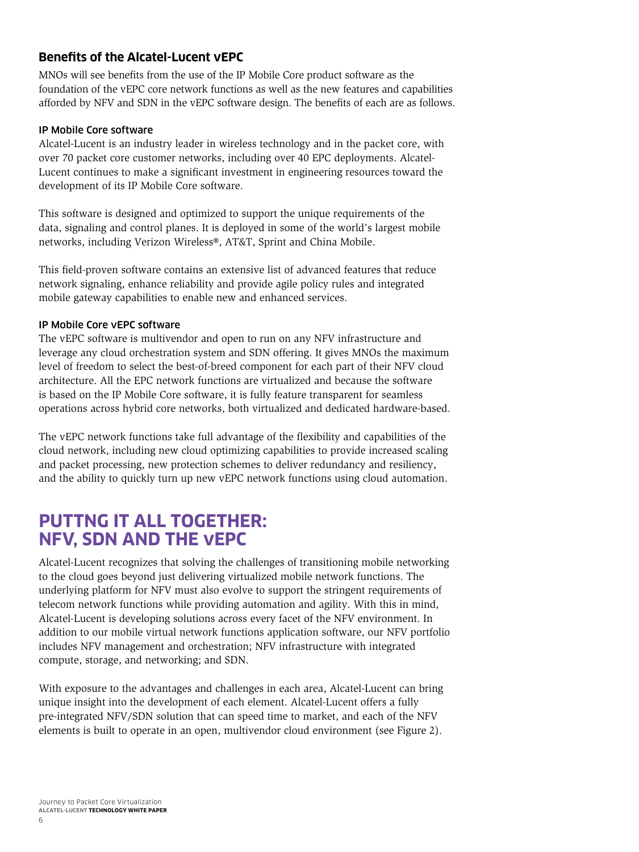### <span id="page-7-0"></span>**Benefits of the Alcatel-Lucent vEPC**

MNOs will see benefits from the use of the IP Mobile Core product software as the foundation of the vEPC core network functions as well as the new features and capabilities afforded by NFV and SDN in the vEPC software design. The benefits of each are as follows.

#### IP Mobile Core software

Alcatel-Lucent is an industry leader in wireless technology and in the packet core, with over 70 packet core customer networks, including over 40 EPC deployments. Alcatel-Lucent continues to make a significant investment in engineering resources toward the development of its IP Mobile Core software.

This software is designed and optimized to support the unique requirements of the data, signaling and control planes. It is deployed in some of the world's largest mobile networks, including Verizon Wireless®, AT&T, Sprint and China Mobile.

This field-proven software contains an extensive list of advanced features that reduce network signaling, enhance reliability and provide agile policy rules and integrated mobile gateway capabilities to enable new and enhanced services.

#### IP Mobile Core vEPC software

The vEPC software is multivendor and open to run on any NFV infrastructure and leverage any cloud orchestration system and SDN offering. It gives MNOs the maximum level of freedom to select the best-of-breed component for each part of their NFV cloud architecture. All the EPC network functions are virtualized and because the software is based on the IP Mobile Core software, it is fully feature transparent for seamless operations across hybrid core networks, both virtualized and dedicated hardware-based.

The vEPC network functions take full advantage of the flexibility and capabilities of the cloud network, including new cloud optimizing capabilities to provide increased scaling and packet processing, new protection schemes to deliver redundancy and resiliency, and the ability to quickly turn up new vEPC network functions using cloud automation.

### **Puttng it all together: NFV, SDN and the vEPC**

Alcatel-Lucent recognizes that solving the challenges of transitioning mobile networking to the cloud goes beyond just delivering virtualized mobile network functions. The underlying platform for NFV must also evolve to support the stringent requirements of telecom network functions while providing automation and agility. With this in mind, Alcatel-Lucent is developing solutions across every facet of the NFV environment. In addition to our mobile virtual network functions application software, our NFV portfolio includes NFV management and orchestration; NFV infrastructure with integrated compute, storage, and networking; and SDN.

With exposure to the advantages and challenges in each area, Alcatel-Lucent can bring unique insight into the development of each element. Alcatel-Lucent offers a fully pre-integrated NFV/SDN solution that can speed time to market, and each of the NFV elements is built to operate in an open, multivendor cloud environment (see Figure 2).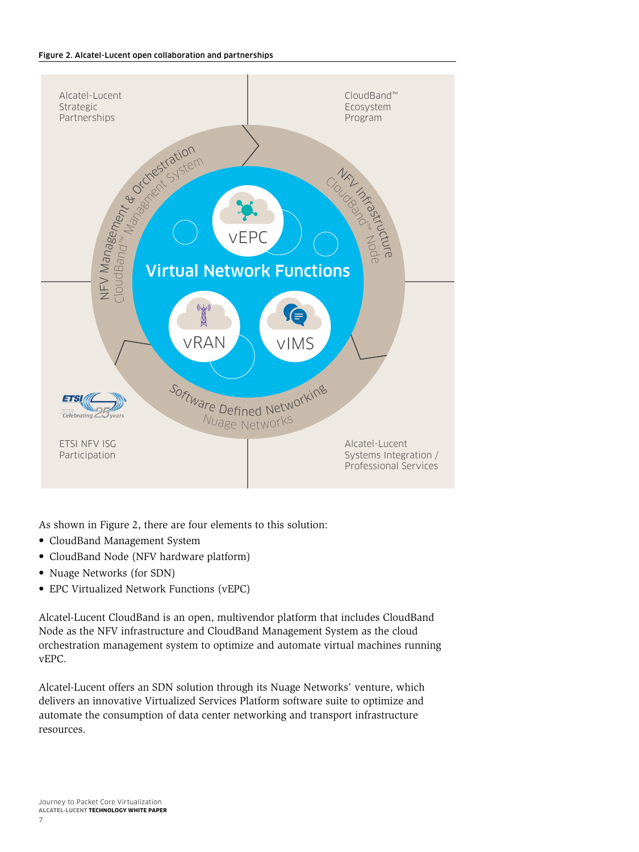#### Figure 2. Alcatel-Lucent open collaboration and partnerships



As shown in Figure 2, there are four elements to this solution:

- CloudBand Management System
- CloudBand Node (NFV hardware platform)
- • Nuage Networks (for SDN)
- • EPC Virtualized Network Functions (vEPC)

Alcatel-Lucent CloudBand is an open, multivendor platform that includes CloudBand Node as the NFV infrastructure and CloudBand Management System as the cloud orchestration management system to optimize and automate virtual machines running vEPC.

Alcatel-Lucent offers an SDN solution through its Nuage Networks' venture, which delivers an innovative Virtualized Services Platform software suite to optimize and automate the consumption of data center networking and transport infrastructure resources.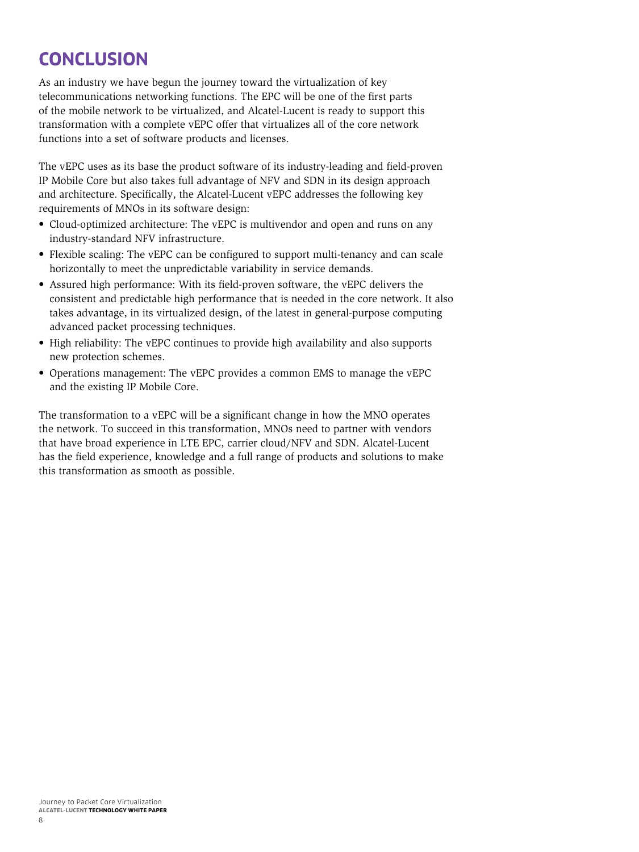## <span id="page-9-0"></span>**Conclusion**

As an industry we have begun the journey toward the virtualization of key telecommunications networking functions. The EPC will be one of the first parts of the mobile network to be virtualized, and Alcatel-Lucent is ready to support this transformation with a complete vEPC offer that virtualizes all of the core network functions into a set of software products and licenses.

The vEPC uses as its base the product software of its industry-leading and field-proven IP Mobile Core but also takes full advantage of NFV and SDN in its design approach and architecture. Specifically, the Alcatel-Lucent vEPC addresses the following key requirements of MNOs in its software design:

- Cloud-optimized architecture: The vEPC is multivendor and open and runs on any industry-standard NFV infrastructure.
- Flexible scaling: The vEPC can be configured to support multi-tenancy and can scale horizontally to meet the unpredictable variability in service demands.
- • Assured high performance: With its field-proven software, the vEPC delivers the consistent and predictable high performance that is needed in the core network. It also takes advantage, in its virtualized design, of the latest in general-purpose computing advanced packet processing techniques.
- High reliability: The vEPC continues to provide high availability and also supports new protection schemes.
- • Operations management: The vEPC provides a common EMS to manage the vEPC and the existing IP Mobile Core.

The transformation to a vEPC will be a significant change in how the MNO operates the network. To succeed in this transformation, MNOs need to partner with vendors that have broad experience in LTE EPC, carrier cloud/NFV and SDN. Alcatel-Lucent has the field experience, knowledge and a full range of products and solutions to make this transformation as smooth as possible.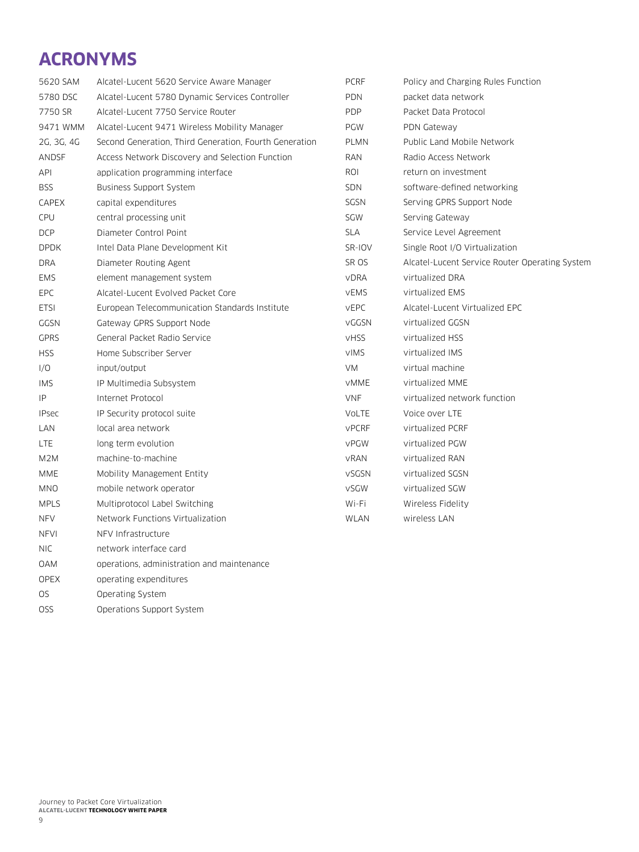## <span id="page-10-0"></span>**Acronyms**

| 5620 SAM         | Alcatel-Lucent 5620 Service Aware Manager              | <b>PCRF</b>  | Policy and Charging Rules Function             |
|------------------|--------------------------------------------------------|--------------|------------------------------------------------|
| 5780 DSC         | Alcatel-Lucent 5780 Dynamic Services Controller        | <b>PDN</b>   | packet data network                            |
| 7750 SR          | Alcatel-Lucent 7750 Service Router                     | <b>PDP</b>   | Packet Data Protocol                           |
| 9471 WMM         | Alcatel-Lucent 9471 Wireless Mobility Manager          | PGW          | PDN Gateway                                    |
| 2G, 3G, 4G       | Second Generation, Third Generation, Fourth Generation | <b>PLMN</b>  | Public Land Mobile Network                     |
| ANDSF            | Access Network Discovery and Selection Function        | RAN          | Radio Access Network                           |
| API              | application programming interface                      | ROI          | return on investment                           |
| <b>BSS</b>       | <b>Business Support System</b>                         | <b>SDN</b>   | software-defined networking                    |
| CAPEX            | capital expenditures                                   | SGSN         | Serving GPRS Support Node                      |
| CPU              | central processing unit                                | SGW          | Serving Gateway                                |
| <b>DCP</b>       | Diameter Control Point                                 | <b>SLA</b>   | Service Level Agreement                        |
| <b>DPDK</b>      | Intel Data Plane Development Kit                       | SR-IOV       | Single Root I/O Virtualization                 |
| <b>DRA</b>       | Diameter Routing Agent                                 | SR OS        | Alcatel-Lucent Service Router Operating System |
| <b>EMS</b>       | element management system                              | <b>VDRA</b>  | virtualized DRA                                |
| <b>EPC</b>       | Alcatel-Lucent Evolved Packet Core                     | vEMS         | virtualized EMS                                |
| <b>ETSI</b>      | European Telecommunication Standards Institute         | <b>VEPC</b>  | Alcatel-Lucent Virtualized EPC                 |
| GGSN             | Gateway GPRS Support Node                              | <b>VGGSN</b> | virtualized GGSN                               |
| <b>GPRS</b>      | General Packet Radio Service                           | <b>VHSS</b>  | virtualized HSS                                |
| <b>HSS</b>       | Home Subscriber Server                                 | <b>VIMS</b>  | virtualized IMS                                |
| I/O              | input/output                                           | <b>VM</b>    | virtual machine                                |
| <b>IMS</b>       | IP Multimedia Subsystem                                | <b>VMME</b>  | virtualized MME                                |
| IP               | Internet Protocol                                      | <b>VNF</b>   | virtualized network function                   |
| <b>IPsec</b>     | IP Security protocol suite                             | VoLTE        | Voice over LTE                                 |
| LAN              | local area network                                     | <b>VPCRF</b> | virtualized PCRF                               |
| <b>LTE</b>       | long term evolution                                    | vPGW         | virtualized PGW                                |
| M <sub>2</sub> M | machine-to-machine                                     | vRAN         | virtualized RAN                                |
| <b>MME</b>       | Mobility Management Entity                             | <b>VSGSN</b> | virtualized SGSN                               |
| MNO              | mobile network operator                                | vSGW         | virtualized SGW                                |
| <b>MPLS</b>      | Multiprotocol Label Switching                          | Wi-Fi        | Wireless Fidelity                              |
| <b>NFV</b>       | Network Functions Virtualization                       | <b>WLAN</b>  | wireless LAN                                   |
| <b>NFVI</b>      | NFV Infrastructure                                     |              |                                                |
| <b>NIC</b>       | network interface card                                 |              |                                                |

- OAM operations, administration and maintenance
- OPEX operating expenditures
- OS Operating System
- OSS Operations Support System